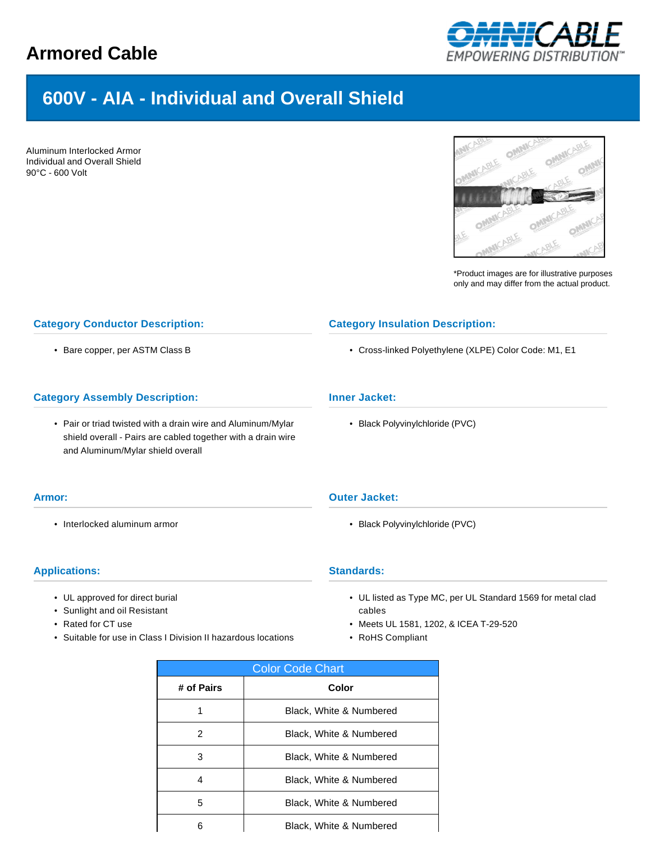

# **600V - AIA - Individual and Overall Shield**

Aluminum Interlocked Armor Individual and Overall Shield 90°C - 600 Volt



\*Product images are for illustrative purposes only and may differ from the actual product.

# **Category Conductor Description:**

• Bare copper, per ASTM Class B

## **Category Assembly Description:**

• Pair or triad twisted with a drain wire and Aluminum/Mylar shield overall - Pairs are cabled together with a drain wire and Aluminum/Mylar shield overall

#### **Armor:**

• Interlocked aluminum armor

#### **Applications:**

- UL approved for direct burial
- Sunlight and oil Resistant
- Rated for CT use
- Suitable for use in Class I Division II hazardous locations

## **Category Insulation Description:**

• Cross-linked Polyethylene (XLPE) Color Code: M1, E1

# **Inner Jacket:**

• Black Polyvinylchloride (PVC)

#### **Outer Jacket:**

• Black Polyvinylchloride (PVC)

#### **Standards:**

- UL listed as Type MC, per UL Standard 1569 for metal clad cables
- Meets UL 1581, 1202, & ICEA T-29-520
- RoHS Compliant

| <b>Color Code Chart</b> |                         |  |  |  |  |
|-------------------------|-------------------------|--|--|--|--|
| # of Pairs              | Color                   |  |  |  |  |
|                         | Black, White & Numbered |  |  |  |  |
| 2                       | Black, White & Numbered |  |  |  |  |
| 3                       | Black, White & Numbered |  |  |  |  |
| 4                       | Black, White & Numbered |  |  |  |  |
| 5                       | Black, White & Numbered |  |  |  |  |
|                         | Black, White & Numbered |  |  |  |  |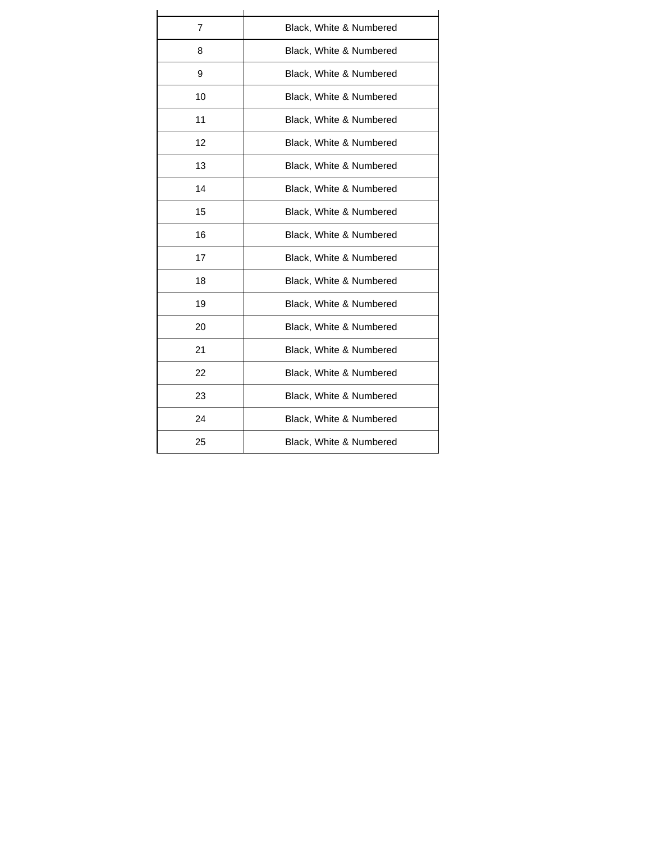| $\overline{7}$ | Black, White & Numbered |
|----------------|-------------------------|
| 8              | Black, White & Numbered |
| 9              | Black, White & Numbered |
| 10             | Black, White & Numbered |
| 11             | Black, White & Numbered |
| 12             | Black, White & Numbered |
| 13             | Black, White & Numbered |
| 14             | Black, White & Numbered |
| 15             | Black, White & Numbered |
| 16             | Black, White & Numbered |
| 17             | Black, White & Numbered |
| 18             | Black, White & Numbered |
| 19             | Black, White & Numbered |
| 20             | Black, White & Numbered |
| 21             | Black, White & Numbered |
| 22             | Black, White & Numbered |
| 23             | Black, White & Numbered |
| 24             | Black, White & Numbered |
| 25             | Black, White & Numbered |
|                |                         |